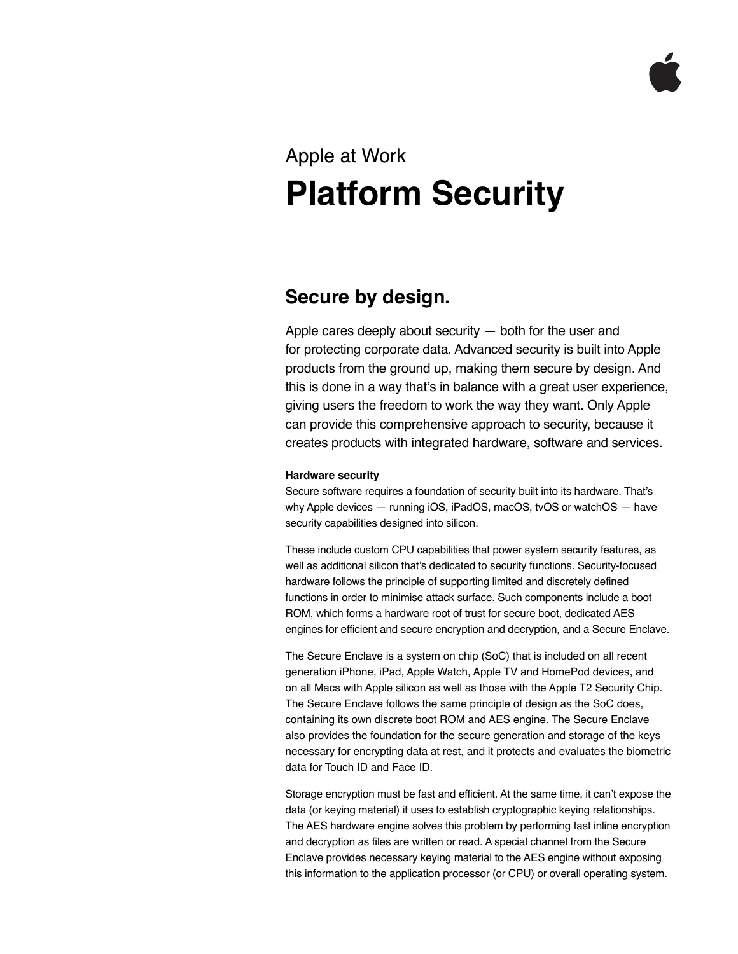# Apple at Work **Platform Security**

# **Secure by design.**

Apple cares deeply about security — both for the user and for protecting corporate data. Advanced security is built into Apple products from the ground up, making them secure by design. And this is done in a way that's in balance with a great user experience, giving users the freedom to work the way they want. Only Apple can provide this comprehensive approach to security, because it creates products with integrated hardware, software and services.

# **Hardware security**

Secure software requires a foundation of security built into its hardware. That's why Apple devices — running iOS, iPadOS, macOS, tvOS or watchOS — have security capabilities designed into silicon.

These include custom CPU capabilities that power system security features, as well as additional silicon that's dedicated to security functions. Security-focused hardware follows the principle of supporting limited and discretely defined functions in order to minimise attack surface. Such components include a boot ROM, which forms a hardware root of trust for secure boot, dedicated AES engines for efficient and secure encryption and decryption, and a Secure Enclave.

The Secure Enclave is a system on chip (SoC) that is included on all recent generation iPhone, iPad, Apple Watch, Apple TV and HomePod devices, and on all Macs with Apple silicon as well as those with the Apple T2 Security Chip. The Secure Enclave follows the same principle of design as the SoC does, containing its own discrete boot ROM and AES engine. The Secure Enclave also provides the foundation for the secure generation and storage of the keys necessary for encrypting data at rest, and it protects and evaluates the biometric data for Touch ID and Face ID.

Storage encryption must be fast and efficient. At the same time, it can't expose the data (or keying material) it uses to establish cryptographic keying relationships. The AES hardware engine solves this problem by performing fast inline encryption and decryption as files are written or read. A special channel from the Secure Enclave provides necessary keying material to the AES engine without exposing this information to the application processor (or CPU) or overall operating system.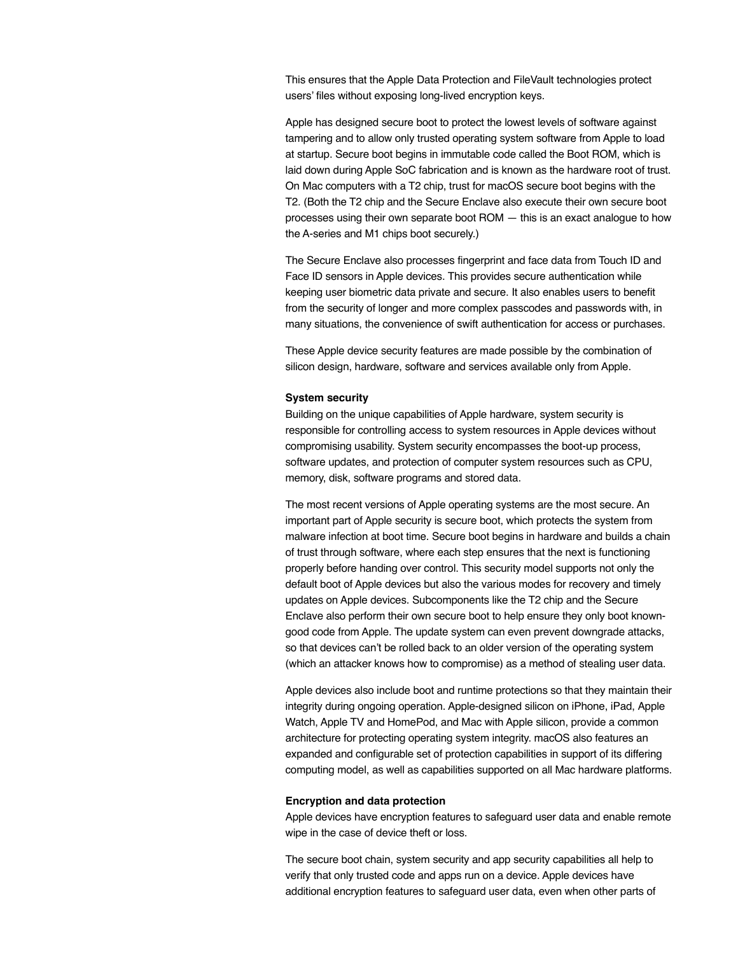This ensures that the Apple Data Protection and FileVault technologies protect users' files without exposing long-lived encryption keys.

Apple has designed secure boot to protect the lowest levels of software against tampering and to allow only trusted operating system software from Apple to load at startup. Secure boot begins in immutable code called the Boot ROM, which is laid down during Apple SoC fabrication and is known as the hardware root of trust. On Mac computers with a T2 chip, trust for macOS secure boot begins with the T2. (Both the T2 chip and the Secure Enclave also execute their own secure boot processes using their own separate boot ROM — this is an exact analogue to how the A-series and M1 chips boot securely.)

The Secure Enclave also processes fingerprint and face data from Touch ID and Face ID sensors in Apple devices. This provides secure authentication while keeping user biometric data private and secure. It also enables users to benefit from the security of longer and more complex passcodes and passwords with, in many situations, the convenience of swift authentication for access or purchases.

These Apple device security features are made possible by the combination of silicon design, hardware, software and services available only from Apple.

### **System security**

Building on the unique capabilities of Apple hardware, system security is responsible for controlling access to system resources in Apple devices without compromising usability. System security encompasses the boot-up process, software updates, and protection of computer system resources such as CPU, memory, disk, software programs and stored data.

The most recent versions of Apple operating systems are the most secure. An important part of Apple security is secure boot, which protects the system from malware infection at boot time. Secure boot begins in hardware and builds a chain of trust through software, where each step ensures that the next is functioning properly before handing over control. This security model supports not only the default boot of Apple devices but also the various modes for recovery and timely updates on Apple devices. Subcomponents like the T2 chip and the Secure Enclave also perform their own secure boot to help ensure they only boot knowngood code from Apple. The update system can even prevent downgrade attacks, so that devices can't be rolled back to an older version of the operating system (which an attacker knows how to compromise) as a method of stealing user data.

Apple devices also include boot and runtime protections so that they maintain their integrity during ongoing operation. Apple-designed silicon on iPhone, iPad, Apple Watch, Apple TV and HomePod, and Mac with Apple silicon, provide a common architecture for protecting operating system integrity. macOS also features an expanded and configurable set of protection capabilities in support of its differing computing model, as well as capabilities supported on all Mac hardware platforms.

## **Encryption and data protection**

Apple devices have encryption features to safeguard user data and enable remote wipe in the case of device theft or loss.

The secure boot chain, system security and app security capabilities all help to verify that only trusted code and apps run on a device. Apple devices have additional encryption features to safeguard user data, even when other parts of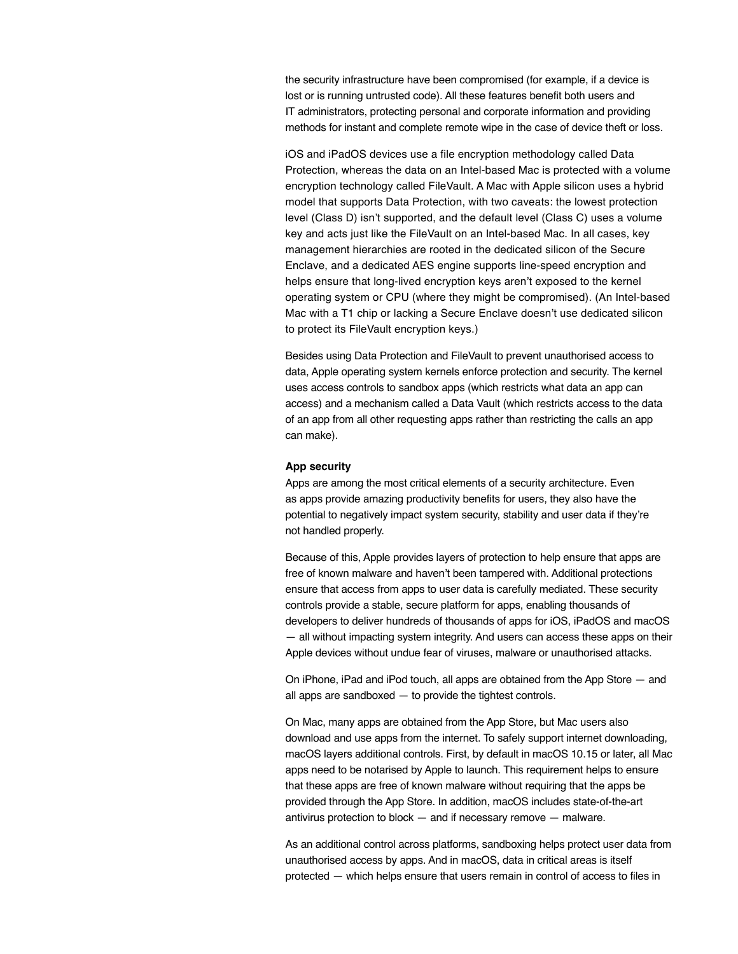the security infrastructure have been compromised (for example, if a device is lost or is running untrusted code). All these features benefit both users and IT administrators, protecting personal and corporate information and providing methods for instant and complete remote wipe in the case of device theft or loss.

iOS and iPadOS devices use a file encryption methodology called Data Protection, whereas the data on an Intel-based Mac is protected with a volume encryption technology called FileVault. A Mac with Apple silicon uses a hybrid model that supports Data Protection, with two caveats: the lowest protection level (Class D) isn't supported, and the default level (Class C) uses a volume key and acts just like the FileVault on an Intel-based Mac. In all cases, key management hierarchies are rooted in the dedicated silicon of the Secure Enclave, and a dedicated AES engine supports line-speed encryption and helps ensure that long-lived encryption keys aren't exposed to the kernel operating system or CPU (where they might be compromised). (An Intel-based Mac with a T1 chip or lacking a Secure Enclave doesn't use dedicated silicon to protect its FileVault encryption keys.)

Besides using Data Protection and FileVault to prevent unauthorised access to data, Apple operating system kernels enforce protection and security. The kernel uses access controls to sandbox apps (which restricts what data an app can access) and a mechanism called a Data Vault (which restricts access to the data of an app from all other requesting apps rather than restricting the calls an app can make).

#### **App security**

Apps are among the most critical elements of a security architecture. Even as apps provide amazing productivity benefits for users, they also have the potential to negatively impact system security, stability and user data if they're not handled properly.

Because of this, Apple provides layers of protection to help ensure that apps are free of known malware and haven't been tampered with. Additional protections ensure that access from apps to user data is carefully mediated. These security controls provide a stable, secure platform for apps, enabling thousands of developers to deliver hundreds of thousands of apps for iOS, iPadOS and macOS — all without impacting system integrity. And users can access these apps on their Apple devices without undue fear of viruses, malware or unauthorised attacks.

On iPhone, iPad and iPod touch, all apps are obtained from the App Store — and all apps are sandboxed — to provide the tightest controls.

On Mac, many apps are obtained from the App Store, but Mac users also download and use apps from the internet. To safely support internet downloading, macOS layers additional controls. First, by default in macOS 10.15 or later, all Mac apps need to be notarised by Apple to launch. This requirement helps to ensure that these apps are free of known malware without requiring that the apps be provided through the App Store. In addition, macOS includes state-of-the-art antivirus protection to block — and if necessary remove — malware.

As an additional control across platforms, sandboxing helps protect user data from unauthorised access by apps. And in macOS, data in critical areas is itself protected — which helps ensure that users remain in control of access to files in